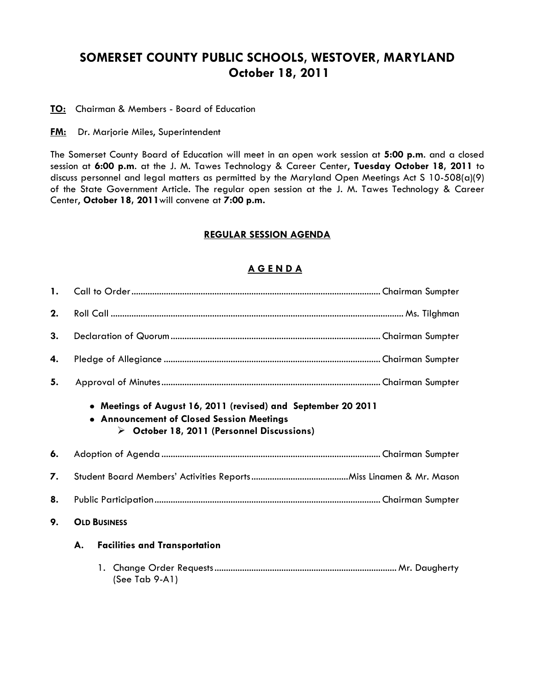# **SOMERSET COUNTY PUBLIC SCHOOLS, WESTOVER, MARYLAND October 18, 2011**

**TO:** Chairman & Members - Board of Education

**FM:** Dr. Marjorie Miles, Superintendent

The Somerset County Board of Education will meet in an open work session at **5:00 p.m**. and a closed session at **6:00 p.m**. at the J. M. Tawes Technology & Career Center, **Tuesday October 18, 2011** to discuss personnel and legal matters as permitted by the Maryland Open Meetings Act S 10-508(a)(9) of the State Government Article. The regular open session at the J. M. Tawes Technology & Career Center, **October 18, 2011**will convene at **7:00 p.m.**

## **REGULAR SESSION AGENDA**

### **A G E N D A**

| $\mathbf{1}$ . |                                                                                                                                                                         |                                      |  |  |  |
|----------------|-------------------------------------------------------------------------------------------------------------------------------------------------------------------------|--------------------------------------|--|--|--|
| 2.             |                                                                                                                                                                         |                                      |  |  |  |
| 3.             |                                                                                                                                                                         |                                      |  |  |  |
| 4.             |                                                                                                                                                                         |                                      |  |  |  |
| 5.             |                                                                                                                                                                         |                                      |  |  |  |
|                | • Meetings of August 16, 2011 (revised) and September 20 2011<br>• Announcement of Closed Session Meetings<br>$\triangleright$ October 18, 2011 (Personnel Discussions) |                                      |  |  |  |
|                |                                                                                                                                                                         |                                      |  |  |  |
| 6.             |                                                                                                                                                                         |                                      |  |  |  |
| 7.             |                                                                                                                                                                         |                                      |  |  |  |
| 8.             |                                                                                                                                                                         |                                      |  |  |  |
| 9.             |                                                                                                                                                                         | <b>OLD BUSINESS</b>                  |  |  |  |
|                | А.                                                                                                                                                                      | <b>Facilities and Transportation</b> |  |  |  |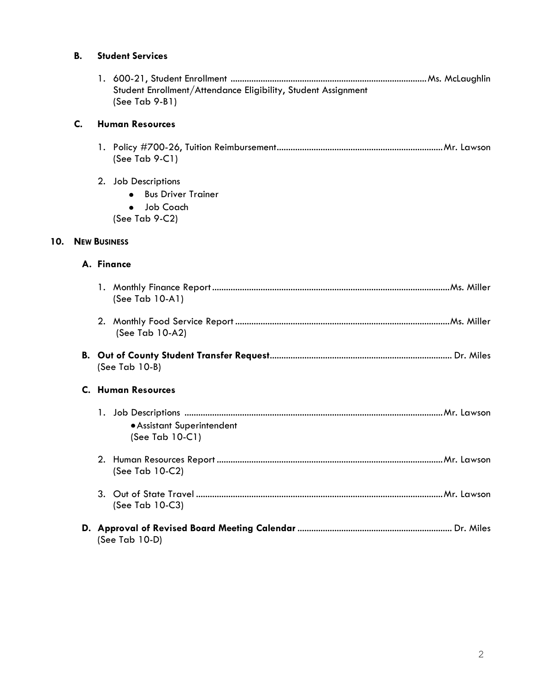## **B. Student Services**

| Student Enrollment/Attendance Eligibility, Student Assignment |  |
|---------------------------------------------------------------|--|
| $(See Tab 9-B1)$                                              |  |

#### **C. Human Resources**

- 1. Policy #700-26, Tuition Reimbursement........................................................................Mr. Lawson (See Tab 9-C1)
- 2. Job Descriptions
	- **Bus Driver Trainer**
	- Job Coach
	- (See Tab 9-C2)

## **10. NEW BUSINESS**

#### **A. Finance**

| (See Tab 10-A1)                               |  |  |  |
|-----------------------------------------------|--|--|--|
| (See Tab 10-A2)                               |  |  |  |
| $(See Tab 10-B)$                              |  |  |  |
| C. Human Resources                            |  |  |  |
| • Assistant Superintendent<br>(See Tab 10-C1) |  |  |  |
| (See Tab 10-C2)                               |  |  |  |
| (See Tab 10-C3)                               |  |  |  |
| (See Tab 10-D)                                |  |  |  |